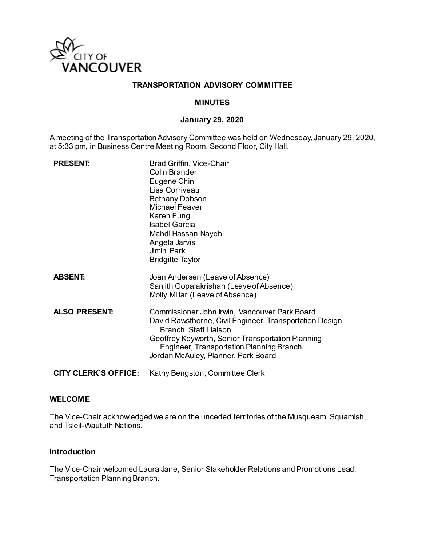

## **TRANSPORTATION ADVISORY COMMITTEE**

### **MINUTES**

### **January 29, 2020**

A meeting of the Transportation Advisory Committee was held on Wednesday, January 29, 2020, at 5:33 pm, in Business Centre Meeting Room, Second Floor, City Hall.

| <b>PRESENT:</b>      | Brad Griffin, Vice-Chair<br><b>Colin Brander</b><br>Eugene Chin<br>Lisa Corriveau<br><b>Bethany Dobson</b><br><b>Michael Feaver</b><br>Karen Fung<br><b>Isabel Garcia</b><br>Mahdi Hassan Nayebi<br>Angela Jarvis<br>Jimin Park<br><b>Bridgitte Taylor</b>                       |
|----------------------|----------------------------------------------------------------------------------------------------------------------------------------------------------------------------------------------------------------------------------------------------------------------------------|
| <b>ABSENT:</b>       | Joan Andersen (Leave of Absence)<br>Sanjith Gopalakrishan (Leave of Absence)<br>Molly Millar (Leave of Absence)                                                                                                                                                                  |
| <b>ALSO PRESENT:</b> | Commissioner John Irwin, Vancouver Park Board<br>David Rawsthorne, Civil Engineer, Transportation Design<br>Branch, Staff Liaison<br>Geoffrey Keyworth, Senior Transportation Planning<br><b>Engineer, Transportation Planning Branch</b><br>Jordan McAuley, Planner, Park Board |
| CITY CLERK'S OFFICE: | Kathy Bengston, Committee Clerk                                                                                                                                                                                                                                                  |

#### **WELCOME**

The Vice-Chair acknowledged we are on the unceded territories of the Musqueam, Squamish, and Tsleil-Waututh Nations.

### **Introduction**

The Vice-Chair welcomed Laura Jane, Senior Stakeholder Relations and Promotions Lead, Transportation Planning Branch.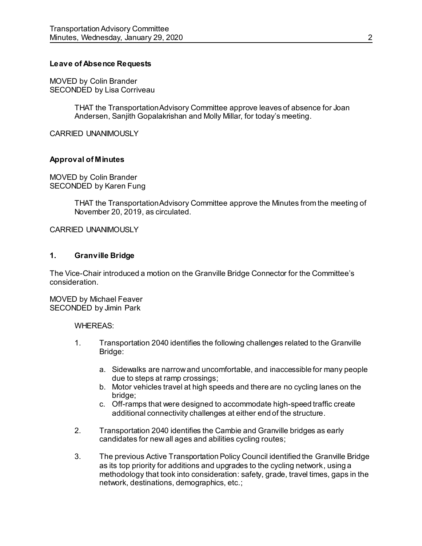### **Leave of Absence Requests**

MOVED by Colin Brander SECONDED by Lisa Corriveau

> THAT the Transportation Advisory Committee approve leaves of absence for Joan Andersen, Sanjith Gopalakrishan and Molly Millar, for today's meeting.

CARRIED UNANIMOUSLY

#### **Approval of Minutes**

MOVED by Colin Brander SECONDED by Karen Fung

> THAT the Transportation Advisory Committee approve the Minutes from the meeting of November 20, 2019, as circulated.

#### CARRIED UNANIMOUSLY

#### **1. Granville Bridge**

The Vice-Chair introduced a motion on the Granville Bridge Connector for the Committee's consideration.

MOVED by Michael Feaver SECONDED by Jimin Park

WHEREAS:

- 1. Transportation 2040 identifies the following challenges related to the Granville Bridge:
	- a. Sidewalks are narrow and uncomfortable, and inaccessible for many people due to steps at ramp crossings;
	- b. Motor vehicles travel at high speeds and there are no cycling lanes on the bridge;
	- c. Off-ramps that were designed to accommodate high-speed traffic create additional connectivity challenges at either end of the structure.
- 2. Transportation 2040 identifies the Cambie and Granville bridges as early candidates for new all ages and abilities cycling routes;
- 3. The previous Active Transportation Policy Council identified the Granville Bridge as its top priority for additions and upgrades to the cycling network, using a methodology that took into consideration: safety, grade, travel times, gaps in the network, destinations, demographics, etc.;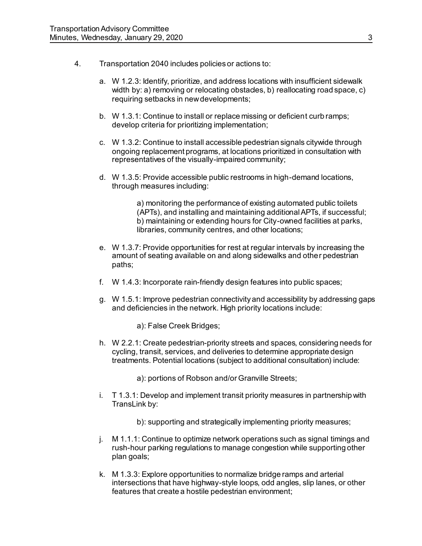- 4. Transportation 2040 includes policies or actions to:
	- a. W 1.2.3: Identify, prioritize, and address locations with insufficient sidewalk width by: a) removing or relocating obstacles, b) reallocating road space, c) requiring setbacks in new developments;
	- b. W 1.3.1: Continue to install or replace missing or deficient curb ramps; develop criteria for prioritizing implementation;
	- c. W 1.3.2: Continue to install accessible pedestrian signals citywide through ongoing replacement programs, at locations prioritized in consultation with representatives of the visually-impaired community;
	- d. W 1.3.5: Provide accessible public restrooms in high-demand locations, through measures including:

a) monitoring the performance of existing automated public toilets (APTs), and installing and maintaining additional APTs, if successful; b) maintaining or extending hours for City-owned facilities at parks, libraries, community centres, and other locations;

- e. W 1.3.7: Provide opportunities for rest at regular intervals by increasing the amount of seating available on and along sidewalks and other pedestrian paths;
- f. W 1.4.3: Incorporate rain-friendly design features into public spaces;
- g. W 1.5.1: Improve pedestrian connectivity and accessibility by addressing gaps and deficiencies in the network. High priority locations include:

a): False Creek Bridges;

h. W 2.2.1: Create pedestrian-priority streets and spaces, considering needs for cycling, transit, services, and deliveries to determine appropriate design treatments. Potential locations (subject to additional consultation) include:

a): portions of Robson and/or Granville Streets;

i. T 1.3.1: Develop and implement transit priority measures in partnership with TransLink by:

b): supporting and strategically implementing priority measures;

- j. M 1.1.1: Continue to optimize network operations such as signal timings and rush-hour parking regulations to manage congestion while supporting other plan goals;
- k. M 1.3.3: Explore opportunities to normalize bridge ramps and arterial intersections that have highway-style loops, odd angles, slip lanes, or other features that create a hostile pedestrian environment;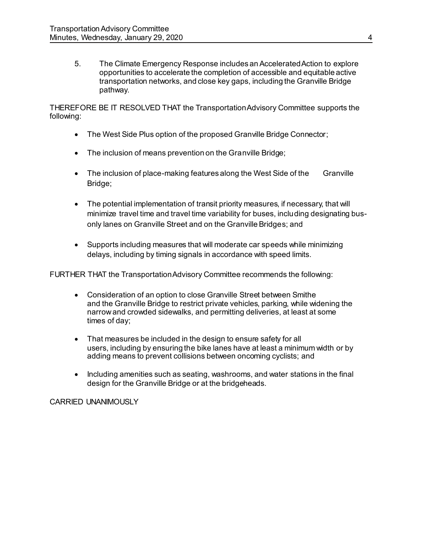5. The Climate Emergency Response includes an Accelerated Action to explore opportunities to accelerate the completion of accessible and equitable active transportation networks, and close key gaps, including the Granville Bridge pathway.

THEREFORE BE IT RESOLVED THAT the Transportation Advisory Committee supports the following:

- The West Side Plus option of the proposed Granville Bridge Connector;
- The inclusion of means prevention on the Granville Bridge;
- The inclusion of place-making features along the West Side of the Granville Bridge:
- The potential implementation of transit priority measures, if necessary, that will minimize travel time and travel time variability for buses, including designating busonly lanes on Granville Street and on the Granville Bridges; and
- Supports including measures that will moderate car speeds while minimizing delays, including by timing signals in accordance with speed limits.

FURTHER THAT the Transportation Advisory Committee recommends the following:

- Consideration of an option to close Granville Street between Smithe and the Granville Bridge to restrict private vehicles, parking, while widening the narrow and crowded sidewalks, and permitting deliveries, at least at some times of day;
- That measures be included in the design to ensure safety for all users, including by ensuring the bike lanes have at least a minimum width or by adding means to prevent collisions between oncoming cyclists; and
- Including amenities such as seating, washrooms, and water stations in the final design for the Granville Bridge or at the bridgeheads.

CARRIED UNANIMOUSLY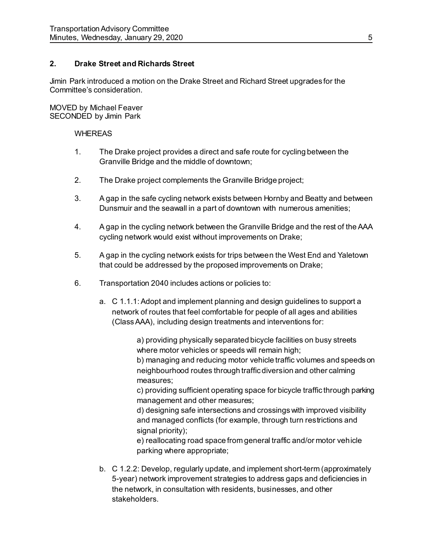## **2. Drake Street and Richards Street**

Jimin Park introduced a motion on the Drake Street and Richard Street upgrades for the Committee's consideration.

MOVED by Michael Feaver SECONDED by Jimin Park

### **WHEREAS**

- 1. The Drake project provides a direct and safe route for cycling between the Granville Bridge and the middle of downtown;
- 2. The Drake project complements the Granville Bridge project;
- 3. A gap in the safe cycling network exists between Hornby and Beatty and between Dunsmuir and the seawall in a part of downtown with numerous amenities;
- 4. A gap in the cycling network between the Granville Bridge and the rest of the AAA cycling network would exist without improvements on Drake;
- 5. A gap in the cycling network exists for trips between the West End and Yaletown that could be addressed by the proposed improvements on Drake;
- 6. Transportation 2040 includes actions or policies to:
	- a. C 1.1.1: Adopt and implement planning and design guidelines to support a network of routes that feel comfortable for people of all ages and abilities (Class AAA), including design treatments and interventions for:

a) providing physically separated bicycle facilities on busy streets where motor vehicles or speeds will remain high;

b) managing and reducing motor vehicle traffic volumes and speeds on neighbourhood routes through traffic diversion and other calming measures;

c) providing sufficient operating space for bicycle traffic through parking management and other measures;

d) designing safe intersections and crossings with improved visibility and managed conflicts (for example, through turn restrictions and signal priority):

e) reallocating road space from general traffic and/or motor vehicle parking where appropriate;

b. C 1.2.2: Develop, regularly update, and implement short-term (approximately 5-year) network improvement strategies to address gaps and deficiencies in the network, in consultation with residents, businesses, and other stakeholders.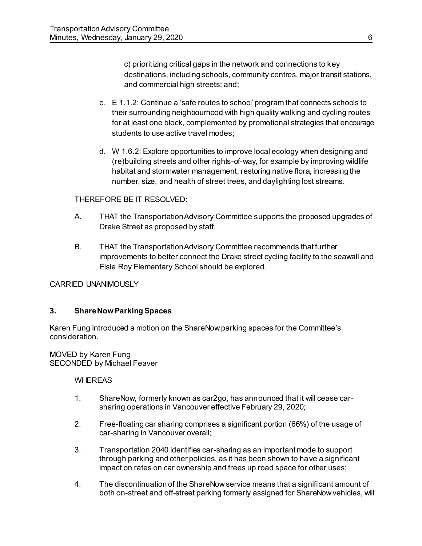c) prioritizing critical gaps in the network and connections to key destinations, including schools, community centres, major transit stations, and commercial high streets; and;

- c. E 1.1.2: Continue a 'safe routes to school' program that connects schools to their surrounding neighbourhood with high quality walking and cycling routes for at least one block, complemented by promotional strategies that encourage students to use active travel modes;
- d. W 1.6.2: Explore opportunities to improve local ecology when designing and (re)building streets and other rights-of-way, for example by improving wildlife habitat and stormwater management, restoring native flora, increasing the number, size, and health of street trees, and daylighting lost streams.

## THEREFORE BE IT RESOLVED:

- A. THAT the Transportation Advisory Committee supports the proposed upgrades of Drake Street as proposed by staff.
- B. THAT the Transportation Advisory Committee recommends that further improvements to better connect the Drake street cycling facility to the seawall and Elsie Roy Elementary School should be explored.

CARRIED UNANIMOUSLY

## **3. ShareNow Parking Spaces**

Karen Fung introduced a motion on the ShareNow parking spaces for the Committee's consideration.

MOVED by Karen Fung SECONDED by Michael Feaver

## WHEREAS

- 1. ShareNow, formerly known as car2go, has announced that it will cease carsharing operations in Vancouver effective February 29, 2020;
- 2. Free-floating car sharing comprises a significant portion (66%) of the usage of car-sharing in Vancouver overall;
- 3. Transportation 2040 identifies car-sharing as an important mode to support through parking and other policies, as it has been shown to have a significant impact on rates on car ownership and frees up road space for other uses;
- 4. The discontinuation of the ShareNow service means that a significant amount of both on-street and off-street parking formerly assigned for ShareNow vehicles, will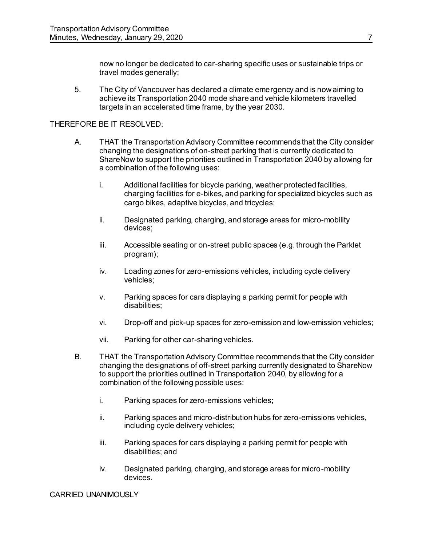now no longer be dedicated to car-sharing specific uses or sustainable trips or travel modes generally;

5. The City of Vancouver has declared a climate emergency and is now aiming to achieve its Transportation 2040 mode share and vehicle kilometers travelled targets in an accelerated time frame, by the year 2030.

### THEREFORE BE IT RESOLVED:

- A. THAT the Transportation Advisory Committee recommends that the City consider changing the designations of on-street parking that is currently dedicated to ShareNow to support the priorities outlined in Transportation 2040 by allowing for a combination of the following uses:
	- i. Additional facilities for bicycle parking, weather protected facilities, charging facilities for e-bikes, and parking for specialized bicycles such as cargo bikes, adaptive bicycles, and tricycles;
	- ii. Designated parking, charging, and storage areas for micro-mobility devices;
	- iii. Accessible seating or on-street public spaces (e.g. through the Parklet program);
	- iv. Loading zones for zero-emissions vehicles, including cycle delivery vehicles;
	- v. Parking spaces for cars displaying a parking permit for people with disabilities;
	- vi. Drop-off and pick-up spaces for zero-emission and low-emission vehicles;
	- vii. Parking for other car-sharing vehicles.
- B. THAT the Transportation Advisory Committee recommends that the City consider changing the designations of off-street parking currently designated to ShareNow to support the priorities outlined in Transportation 2040, by allowing for a combination of the following possible uses:
	- i. Parking spaces for zero-emissions vehicles;
	- ii. Parking spaces and micro-distribution hubs for zero-emissions vehicles, including cycle delivery vehicles;
	- iii. Parking spaces for cars displaying a parking permit for people with disabilities; and
	- iv. Designated parking, charging, and storage areas for micro-mobility devices.

CARRIED UNANIMOUSLY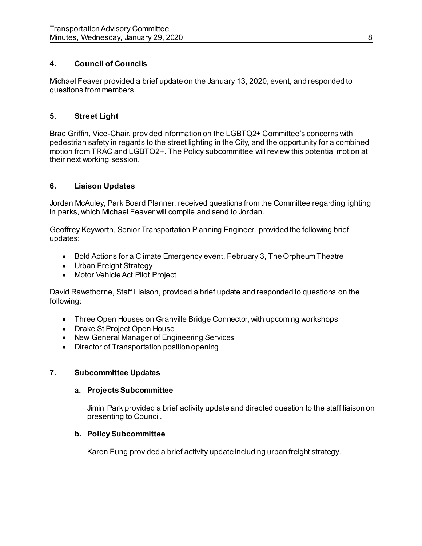# **4. Council of Councils**

Michael Feaver provided a brief update on the January 13, 2020, event, and responded to questions from members.

# **5. Street Light**

Brad Griffin, Vice-Chair, provided information on the LGBTQ2+ Committee's concerns with pedestrian safety in regards to the street lighting in the City, and the opportunity for a combined motion from TRAC and LGBTQ2+. The Policy subcommittee will review this potential motion at their next working session.

# **6. Liaison Updates**

Jordan McAuley, Park Board Planner, received questions from the Committee regarding lighting in parks, which Michael Feaver will compile and send to Jordan.

Geoffrey Keyworth, Senior Transportation Planning Engineer, provided the following brief updates:

- Bold Actions for a Climate Emergency event, February 3, The Orpheum Theatre
- Urban Freight Strategy
- Motor Vehicle Act Pilot Project

David Rawsthorne, Staff Liaison, provided a brief update and responded to questions on the following:

- Three Open Houses on Granville Bridge Connector, with upcoming workshops
- Drake St Project Open House
- New General Manager of Engineering Services
- Director of Transportation position opening

# **7. Subcommittee Updates**

# **a. Projects Subcommittee**

Jimin Park provided a brief activity update and directed question to the staff liaison on presenting to Council.

# **b. Policy Subcommittee**

Karen Fung provided a brief activity update including urban freight strategy.